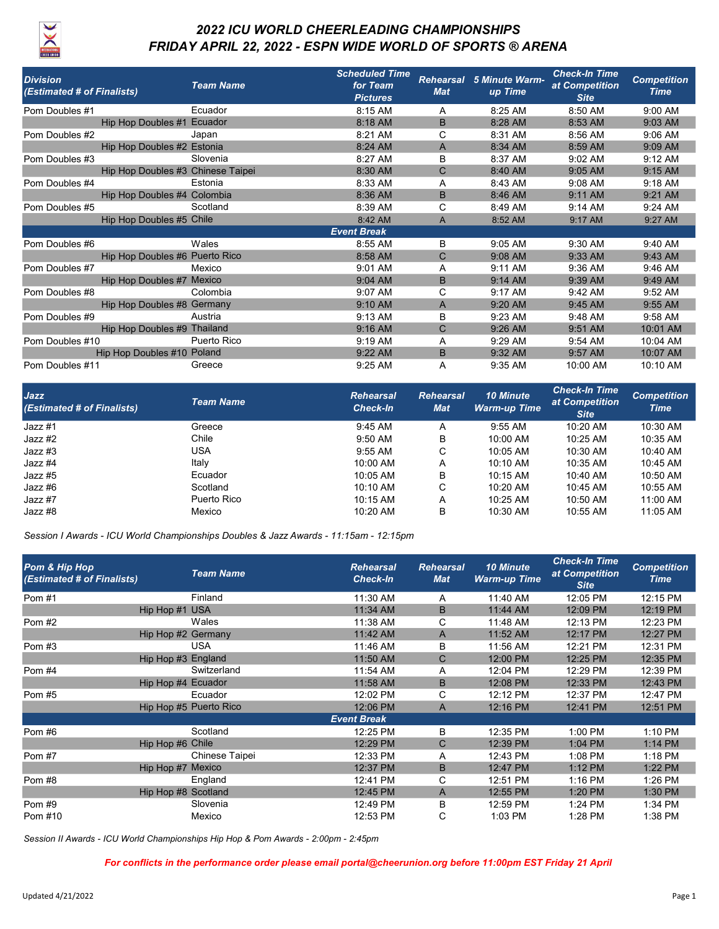

## 2022 ICU WORLD CHEERLEADING CHAMPIONSHIPS FRIDAY APRIL 22, 2022 - ESPN WIDE WORLD OF SPORTS ® ARENA

| <b>Division</b><br>(Estimated # of Finalists) | <b>Team Name</b> | <b>Scheduled Time</b><br>for Team<br><b>Pictures</b> | <b>Rehearsal</b><br><b>Mat</b> | 5 Minute Warm-<br>up Time | <b>Check-In Time</b><br>at Competition<br><b>Site</b> | <b>Competition</b><br><b>Time</b> |
|-----------------------------------------------|------------------|------------------------------------------------------|--------------------------------|---------------------------|-------------------------------------------------------|-----------------------------------|
| Pom Doubles #1                                | Ecuador          | 8:15 AM                                              | A                              | 8:25 AM                   | 8:50 AM                                               | 9:00 AM                           |
| Hip Hop Doubles #1 Ecuador                    |                  | 8:18 AM                                              | B                              | 8:28 AM                   | 8:53 AM                                               | 9:03 AM                           |
| Pom Doubles #2                                | Japan            | 8:21 AM                                              | C                              | 8:31 AM                   | 8:56 AM                                               | 9:06 AM                           |
| Hip Hop Doubles #2 Estonia                    |                  | 8:24 AM                                              | A                              | 8:34 AM                   | 8:59 AM                                               | 9:09 AM                           |
| Pom Doubles #3                                | Slovenia         | 8:27 AM                                              | B                              | 8:37 AM                   | 9:02 AM                                               | 9:12 AM                           |
| Hip Hop Doubles #3 Chinese Taipei             |                  | 8:30 AM                                              | $\mathsf{C}$                   | 8:40 AM                   | 9:05 AM                                               | $9:15$ AM                         |
| Pom Doubles #4                                | Estonia          | 8:33 AM                                              | A                              | 8:43 AM                   | 9:08 AM                                               | 9:18 AM                           |
| Hip Hop Doubles #4 Colombia                   |                  | 8:36 AM                                              | B                              | 8:46 AM                   | 9:11 AM                                               | 9:21 AM                           |
| Pom Doubles #5                                | Scotland         | 8:39 AM                                              | C                              | 8:49 AM                   | 9:14 AM                                               | 9:24 AM                           |
| Hip Hop Doubles #5 Chile                      |                  | 8:42 AM                                              | A                              | 8:52 AM                   | 9:17 AM                                               | 9:27 AM                           |
|                                               |                  | <b>Event Break</b>                                   |                                |                           |                                                       |                                   |
| Pom Doubles #6                                | Wales            | 8:55 AM                                              | B                              | 9:05 AM                   | 9:30 AM                                               | 9:40 AM                           |
| Hip Hop Doubles #6 Puerto Rico                |                  | 8:58 AM                                              | C                              | 9:08 AM                   | 9:33 AM                                               | 9:43 AM                           |
| Pom Doubles #7                                | Mexico           | $9:01$ AM                                            | A                              | $9:11$ AM                 | $9:36$ AM                                             | 9:46 AM                           |
| Hip Hop Doubles #7 Mexico                     |                  | 9:04 AM                                              | B                              | $9:14$ AM                 | 9:39 AM                                               | 9:49 AM                           |
| Pom Doubles #8                                | Colombia         | 9:07 AM                                              | C                              | $9:17$ AM                 | 9:42 AM                                               | 9:52 AM                           |
| Hip Hop Doubles #8 Germany                    |                  | 9:10 AM                                              | $\overline{A}$                 | 9:20 AM                   | 9:45 AM                                               | 9:55 AM                           |
| Pom Doubles #9                                | Austria          | 9:13 AM                                              | B                              | $9:23$ AM                 | 9:48 AM                                               | 9:58 AM                           |
| Hip Hop Doubles #9 Thailand                   |                  | $9:16$ AM                                            | C                              | 9:26 AM                   | 9:51 AM                                               | 10:01 AM                          |
| Pom Doubles #10                               | Puerto Rico      | 9:19 AM                                              | A                              | 9:29 AM                   | 9:54 AM                                               | 10:04 AM                          |
| Hip Hop Doubles #10 Poland                    |                  | 9:22 AM                                              | B                              | 9:32 AM                   | 9:57 AM                                               | 10:07 AM                          |
| Pom Doubles #11                               | Greece           | 9:25 AM                                              | A                              | 9:35 AM                   | 10:00 AM                                              | 10:10 AM                          |

| <b>Jazz</b><br>(Estimated # of Finalists) | <b>Team Name</b> | <b>Rehearsal</b><br><b>Check-In</b> | <b>Rehearsal</b><br><b>Mat</b> | <b>10 Minute</b><br><b>Warm-up Time</b> | <b>Check-In Time</b><br>at Competition<br><b>Site</b> | <b>Competition</b><br><b>Time</b> |
|-------------------------------------------|------------------|-------------------------------------|--------------------------------|-----------------------------------------|-------------------------------------------------------|-----------------------------------|
| Jazz #1                                   | Greece           | $9:45$ AM                           | A                              | $9:55$ AM                               | 10:20 AM                                              | 10:30 AM                          |
| Jazz #2                                   | Chile            | $9:50$ AM                           | B                              | 10:00 AM                                | 10:25 AM                                              | 10:35 AM                          |
| Jazz #3                                   | USA              | $9:55$ AM                           | С                              | $10:05$ AM                              | 10:30 AM                                              | 10:40 AM                          |
| Jazz #4                                   | Italy            | $10:00$ AM                          | Α                              | $10:10$ AM                              | 10:35 AM                                              | 10:45 AM                          |
| Jazz #5                                   | Ecuador          | 10:05 AM                            | B                              | 10:15 AM                                | 10:40 AM                                              | 10:50 AM                          |
| Jazz #6                                   | Scotland         | 10:10 AM                            | C                              | 10:20 AM                                | 10:45 AM                                              | 10:55 AM                          |
| Jazz #7                                   | Puerto Rico      | $10:15$ AM                          | Α                              | 10:25 AM                                | 10:50 AM                                              | 11:00 AM                          |
| Jazz #8                                   | Mexico           | 10:20 AM                            | B                              | 10:30 AM                                | 10:55 AM                                              | 11:05 AM                          |

Session I Awards - ICU World Championships Doubles & Jazz Awards - 11:15am - 12:15pm

| Pom & Hip Hop<br>(Estimated # of Finalists) |                     | <b>Team Name</b>       | <b>Rehearsal</b><br><b>Check-In</b> | <b>Rehearsal</b><br><b>Mat</b> | <b>10 Minute</b><br><b>Warm-up Time</b> | <b>Check-In Time</b><br>at Competition<br><b>Site</b> | <b>Competition</b><br><b>Time</b> |
|---------------------------------------------|---------------------|------------------------|-------------------------------------|--------------------------------|-----------------------------------------|-------------------------------------------------------|-----------------------------------|
| Pom #1                                      |                     | Finland                | 11:30 AM                            | A                              | 11:40 AM                                | 12:05 PM                                              | 12:15 PM                          |
|                                             | Hip Hop #1 USA      |                        | 11:34 AM                            | B                              | 11:44 AM                                | 12:09 PM                                              | 12:19 PM                          |
| Pom#2                                       |                     | Wales                  | 11:38 AM                            | C                              | 11:48 AM                                | 12:13 PM                                              | 12:23 PM                          |
|                                             | Hip Hop #2 Germany  |                        | 11:42 AM                            | A                              | 11:52 AM                                | 12:17 PM                                              | 12:27 PM                          |
| Pom #3                                      |                     | <b>USA</b>             | 11:46 AM                            | B                              | 11:56 AM                                | 12:21 PM                                              | 12:31 PM                          |
|                                             | Hip Hop #3 England  |                        | 11:50 AM                            | C                              | 12:00 PM                                | 12:25 PM                                              | 12:35 PM                          |
| Pom #4                                      |                     | Switzerland            | 11:54 AM                            | A                              | 12:04 PM                                | 12:29 PM                                              | 12:39 PM                          |
|                                             | Hip Hop #4 Ecuador  |                        | 11:58 AM                            | B                              | 12:08 PM                                | 12:33 PM                                              | 12:43 PM                          |
| Pom #5                                      |                     | Ecuador                | 12:02 PM                            | C                              | 12:12 PM                                | 12:37 PM                                              | 12:47 PM                          |
|                                             |                     | Hip Hop #5 Puerto Rico | 12:06 PM                            | A                              | 12:16 PM                                | 12:41 PM                                              | 12:51 PM                          |
|                                             |                     |                        | <b>Event Break</b>                  |                                |                                         |                                                       |                                   |
| Pom #6                                      |                     | Scotland               | 12:25 PM                            | B                              | 12:35 PM                                | 1:00 PM                                               | 1:10 PM                           |
|                                             | Hip Hop #6 Chile    |                        | 12:29 PM                            | C                              | 12:39 PM                                | 1:04 PM                                               | $1:14$ PM                         |
| Pom #7                                      |                     | Chinese Taipei         | 12:33 PM                            | A                              | 12:43 PM                                | 1:08 PM                                               | $1:18$ PM                         |
|                                             | Hip Hop #7 Mexico   |                        | 12:37 PM                            | B                              | 12:47 PM                                | $1:12$ PM                                             | 1:22 PM                           |
| Pom#8                                       |                     | England                | 12:41 PM                            | C                              | 12:51 PM                                | 1:16 PM                                               | 1:26 PM                           |
|                                             | Hip Hop #8 Scotland |                        | 12:45 PM                            | A                              | 12:55 PM                                | 1:20 PM                                               | 1:30 PM                           |
| Pom#9                                       |                     | Slovenia               | 12:49 PM                            | B                              | 12:59 PM                                | 1:24 PM                                               | 1:34 PM                           |
| Pom #10                                     |                     | Mexico                 | 12:53 PM                            | C                              | $1:03$ PM                               | 1:28 PM                                               | 1:38 PM                           |

Session II Awards - ICU World Championships Hip Hop & Pom Awards - 2:00pm - 2:45pm

For conflicts in the performance order please email portal@cheerunion.org before 11:00pm EST Friday 21 April